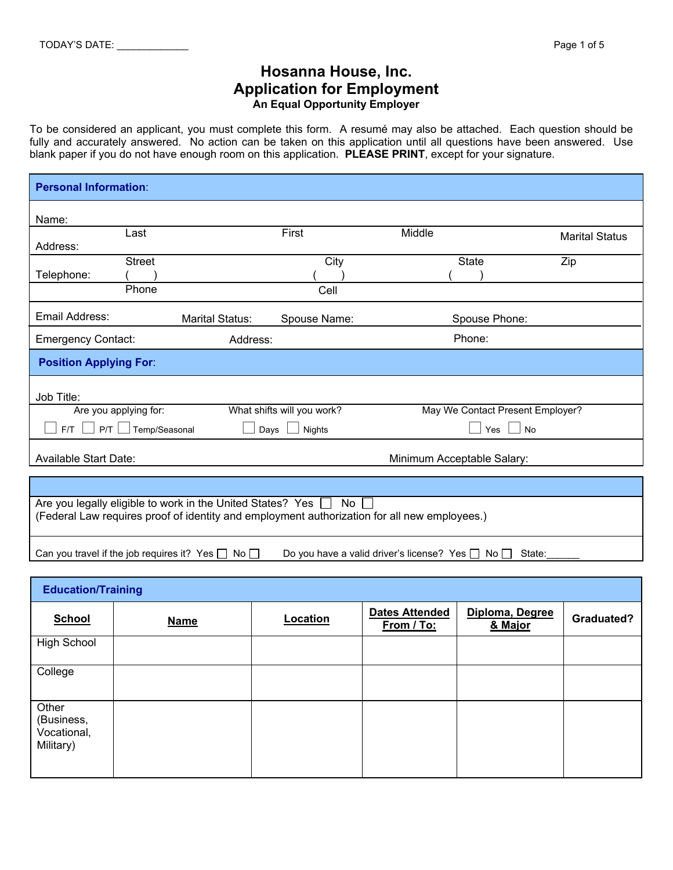## **Hosanna House, Inc. Application for Employment An Equal Opportunity Employer**

To be considered an applicant, you must complete this form. A resumé may also be attached. Each question should be fully and accurately answered. No action can be taken on this application until all questions have been answered. Use blank paper if you do not have enough room on this application. **PLEASE PRINT**, except for your signature.

| <b>Personal Information:</b>                                                                                                                                    |                        |                            |                                  |                       |
|-----------------------------------------------------------------------------------------------------------------------------------------------------------------|------------------------|----------------------------|----------------------------------|-----------------------|
| Name:                                                                                                                                                           |                        |                            |                                  |                       |
| Last                                                                                                                                                            |                        | First                      | Middle                           | <b>Marital Status</b> |
| Address:                                                                                                                                                        |                        |                            |                                  |                       |
| <b>Street</b>                                                                                                                                                   |                        | City                       | State                            | Zip                   |
| Telephone:                                                                                                                                                      |                        |                            |                                  |                       |
| Phone                                                                                                                                                           |                        | Cell                       |                                  |                       |
| Email Address:                                                                                                                                                  | <b>Marital Status:</b> | Spouse Name:               | Spouse Phone:                    |                       |
| <b>Emergency Contact:</b>                                                                                                                                       | Address:               |                            | Phone:                           |                       |
| <b>Position Applying For:</b>                                                                                                                                   |                        |                            |                                  |                       |
| Job Title:                                                                                                                                                      |                        |                            |                                  |                       |
| Are you applying for:                                                                                                                                           |                        | What shifts will you work? | May We Contact Present Employer? |                       |
| $FT$ $\Box$ P/T $\Box$ Temp/Seasonal<br>Yes $\Box$<br>No<br>Days<br>Nights                                                                                      |                        |                            |                                  |                       |
| <b>Available Start Date:</b><br>Minimum Acceptable Salary:                                                                                                      |                        |                            |                                  |                       |
|                                                                                                                                                                 |                        |                            |                                  |                       |
|                                                                                                                                                                 |                        |                            |                                  |                       |
| Are you legally eligible to work in the United States? Yes □ No<br>(Federal Law requires proof of identity and employment authorization for all new employees.) |                        |                            |                                  |                       |
| Can you travel if the job requires it? Yes $\Box$ No $\Box$<br>Do you have a valid driver's license? Yes $\Box$ No $\Box$<br>State:                             |                        |                            |                                  |                       |

| <b>Education/Training</b>                       |             |          |                                     |                            |            |
|-------------------------------------------------|-------------|----------|-------------------------------------|----------------------------|------------|
| <b>School</b>                                   | <b>Name</b> | Location | <b>Dates Attended</b><br>From / To: | Diploma, Degree<br>& Major | Graduated? |
| <b>High School</b>                              |             |          |                                     |                            |            |
| College                                         |             |          |                                     |                            |            |
| Other<br>(Business,<br>Vocational,<br>Military) |             |          |                                     |                            |            |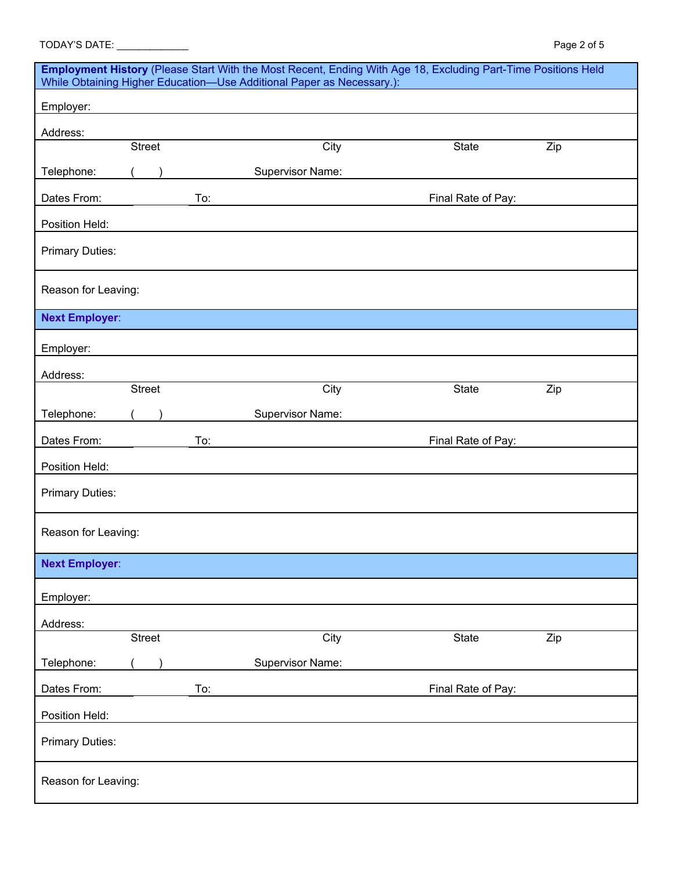| TODAY'S DATE: _________                                                                                                                                                                |               |     |                         |                    | Page 2 of 5 |
|----------------------------------------------------------------------------------------------------------------------------------------------------------------------------------------|---------------|-----|-------------------------|--------------------|-------------|
| Employment History (Please Start With the Most Recent, Ending With Age 18, Excluding Part-Time Positions Held<br>While Obtaining Higher Education-Use Additional Paper as Necessary.): |               |     |                         |                    |             |
| Employer:                                                                                                                                                                              |               |     |                         |                    |             |
| Address:                                                                                                                                                                               |               |     |                         |                    |             |
|                                                                                                                                                                                        | <b>Street</b> |     | City                    | State              | Zip         |
| Telephone:                                                                                                                                                                             |               |     | Supervisor Name:        |                    |             |
| Dates From:                                                                                                                                                                            |               | To: |                         | Final Rate of Pay: |             |
| Position Held:                                                                                                                                                                         |               |     |                         |                    |             |
| <b>Primary Duties:</b>                                                                                                                                                                 |               |     |                         |                    |             |
| Reason for Leaving:                                                                                                                                                                    |               |     |                         |                    |             |
| <b>Next Employer:</b>                                                                                                                                                                  |               |     |                         |                    |             |
| Employer:                                                                                                                                                                              |               |     |                         |                    |             |
| Address:                                                                                                                                                                               |               |     |                         |                    |             |
|                                                                                                                                                                                        | <b>Street</b> |     | City                    | State              | Zip         |
| Telephone:                                                                                                                                                                             |               |     | <b>Supervisor Name:</b> |                    |             |
| Dates From:                                                                                                                                                                            |               | To: |                         | Final Rate of Pay: |             |
| Position Held:                                                                                                                                                                         |               |     |                         |                    |             |
| <b>Primary Duties:</b>                                                                                                                                                                 |               |     |                         |                    |             |
| Reason for Leaving:                                                                                                                                                                    |               |     |                         |                    |             |
| <b>Next Employer:</b>                                                                                                                                                                  |               |     |                         |                    |             |
| Employer:                                                                                                                                                                              |               |     |                         |                    |             |
| Address:                                                                                                                                                                               |               |     |                         |                    |             |
|                                                                                                                                                                                        | <b>Street</b> |     | City                    | <b>State</b>       | Zip         |
| Telephone:                                                                                                                                                                             |               |     | <b>Supervisor Name:</b> |                    |             |
| Dates From:                                                                                                                                                                            |               | To: |                         | Final Rate of Pay: |             |
| Position Held:                                                                                                                                                                         |               |     |                         |                    |             |
| <b>Primary Duties:</b>                                                                                                                                                                 |               |     |                         |                    |             |
| Reason for Leaving:                                                                                                                                                                    |               |     |                         |                    |             |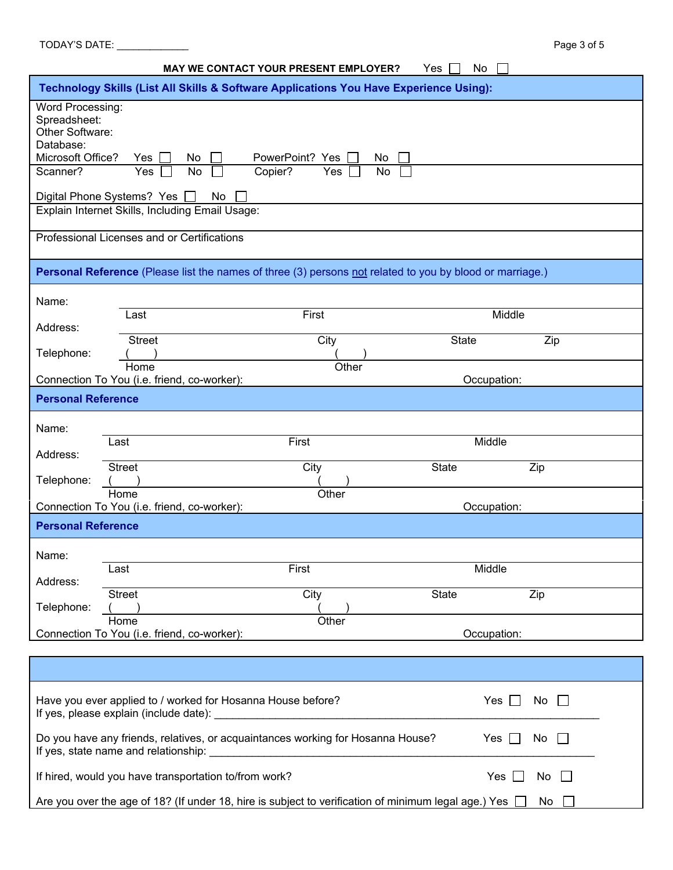| No<br>MAY WE CONTACT YOUR PRESENT EMPLOYER?<br>Yes                                                                                                                                                                        |                                                                                                          |                      |              |        |  |
|---------------------------------------------------------------------------------------------------------------------------------------------------------------------------------------------------------------------------|----------------------------------------------------------------------------------------------------------|----------------------|--------------|--------|--|
| Technology Skills (List All Skills & Software Applications You Have Experience Using):                                                                                                                                    |                                                                                                          |                      |              |        |  |
| Word Processing:<br>Spreadsheet:<br>Other Software:<br>Database:<br>Microsoft Office?<br>PowerPoint? Yes<br>Yes<br>No<br>No                                                                                               |                                                                                                          |                      |              |        |  |
| Scanner?                                                                                                                                                                                                                  | Yes<br>No                                                                                                | Copier?<br>Yes<br>No |              |        |  |
|                                                                                                                                                                                                                           | Digital Phone Systems? Yes<br>No<br>Explain Internet Skills, Including Email Usage:                      |                      |              |        |  |
|                                                                                                                                                                                                                           |                                                                                                          |                      |              |        |  |
|                                                                                                                                                                                                                           | Professional Licenses and or Certifications                                                              |                      |              |        |  |
|                                                                                                                                                                                                                           | Personal Reference (Please list the names of three (3) persons not related to you by blood or marriage.) |                      |              |        |  |
| Name:                                                                                                                                                                                                                     |                                                                                                          |                      |              |        |  |
| Address:                                                                                                                                                                                                                  | Last                                                                                                     | First                |              | Middle |  |
| Telephone:                                                                                                                                                                                                                | <b>Street</b>                                                                                            | City                 | State        | Zip    |  |
|                                                                                                                                                                                                                           | Home<br>Connection To You (i.e. friend, co-worker):                                                      | Other                | Occupation:  |        |  |
| <b>Personal Reference</b>                                                                                                                                                                                                 |                                                                                                          |                      |              |        |  |
| Name:                                                                                                                                                                                                                     |                                                                                                          |                      |              |        |  |
| Address:                                                                                                                                                                                                                  | Last                                                                                                     | First                | Middle       |        |  |
| Telephone:                                                                                                                                                                                                                | <b>Street</b>                                                                                            | City                 | <b>State</b> | Zip    |  |
|                                                                                                                                                                                                                           | Other<br>Home                                                                                            |                      |              |        |  |
| Connection To You (i.e. friend, co-worker):<br>Occupation:<br><b>Personal Reference</b>                                                                                                                                   |                                                                                                          |                      |              |        |  |
| Name:                                                                                                                                                                                                                     |                                                                                                          |                      |              |        |  |
| Address:                                                                                                                                                                                                                  | Last                                                                                                     | First                | Middle       |        |  |
|                                                                                                                                                                                                                           | <b>Street</b>                                                                                            | City                 | <b>State</b> | Zip    |  |
| Telephone:                                                                                                                                                                                                                | Home                                                                                                     | Other                |              |        |  |
|                                                                                                                                                                                                                           | Connection To You (i.e. friend, co-worker):                                                              |                      | Occupation:  |        |  |
|                                                                                                                                                                                                                           |                                                                                                          |                      |              |        |  |
| Have you ever applied to / worked for Hosanna House before?<br>$Yes$ $\Box$<br>No<br>$\mathbf{L}$<br>If yes, please explain (include date):                                                                               |                                                                                                          |                      |              |        |  |
| Do you have any friends, relatives, or acquaintances working for Hosanna House?<br>Yes $\Box$<br>No<br>If yes, state name and relationship:<br>the control of the control of the control of the control of the control of |                                                                                                          |                      |              |        |  |
|                                                                                                                                                                                                                           | If hired, would you have transportation to/from work?                                                    |                      | Yes          | No     |  |
| Are you over the age of 18? (If under 18, hire is subject to verification of minimum legal age.) Yes $\Box$<br>No                                                                                                         |                                                                                                          |                      |              |        |  |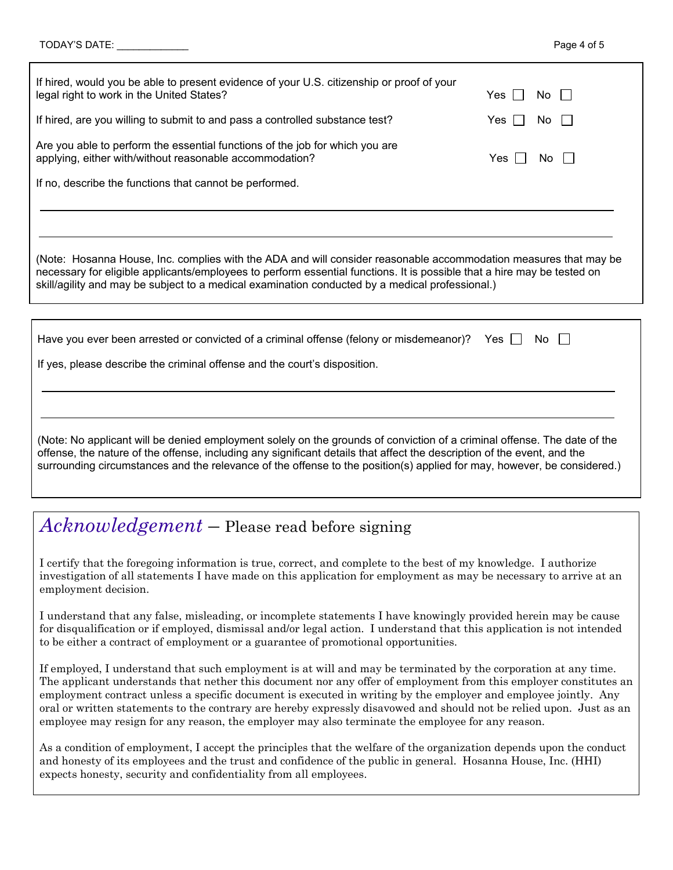| If hired, would you be able to present evidence of your U.S. citizenship or proof of your<br>legal right to work in the United States?                                                                                                                                                                                                                                         | Yes II | No. |  |  |  |  |
|--------------------------------------------------------------------------------------------------------------------------------------------------------------------------------------------------------------------------------------------------------------------------------------------------------------------------------------------------------------------------------|--------|-----|--|--|--|--|
| If hired, are you willing to submit to and pass a controlled substance test?                                                                                                                                                                                                                                                                                                   | Yes l  | No. |  |  |  |  |
| Are you able to perform the essential functions of the job for which you are<br>applying, either with/without reasonable accommodation?<br>Yes<br>No                                                                                                                                                                                                                           |        |     |  |  |  |  |
| If no, describe the functions that cannot be performed.                                                                                                                                                                                                                                                                                                                        |        |     |  |  |  |  |
|                                                                                                                                                                                                                                                                                                                                                                                |        |     |  |  |  |  |
|                                                                                                                                                                                                                                                                                                                                                                                |        |     |  |  |  |  |
| (Note: Hosanna House, Inc. complies with the ADA and will consider reasonable accommodation measures that may be<br>necessary for eligible applicants/employees to perform essential functions. It is possible that a hire may be tested on<br>skill/agility and may be subject to a medical examination conducted by a medical professional.)                                 |        |     |  |  |  |  |
|                                                                                                                                                                                                                                                                                                                                                                                |        |     |  |  |  |  |
| Have you ever been arrested or convicted of a criminal offense (felony or misdemeanor)?                                                                                                                                                                                                                                                                                        | Yes II | No. |  |  |  |  |
| If yes, please describe the criminal offense and the court's disposition.                                                                                                                                                                                                                                                                                                      |        |     |  |  |  |  |
|                                                                                                                                                                                                                                                                                                                                                                                |        |     |  |  |  |  |
|                                                                                                                                                                                                                                                                                                                                                                                |        |     |  |  |  |  |
| (Note: No applicant will be denied employment solely on the grounds of conviction of a criminal offense. The date of the<br>offense, the nature of the offense, including any significant details that affect the description of the event, and the<br>surrounding circumstances and the relevance of the offense to the position(s) applied for may, however, be considered.) |        |     |  |  |  |  |

## *Acknowledgement* – Please read before signing

I certify that the foregoing information is true, correct, and complete to the best of my knowledge. I authorize investigation of all statements I have made on this application for employment as may be necessary to arrive at an employment decision.

I understand that any false, misleading, or incomplete statements I have knowingly provided herein may be cause for disqualification or if employed, dismissal and/or legal action. I understand that this application is not intended to be either a contract of employment or a guarantee of promotional opportunities.

If employed, I understand that such employment is at will and may be terminated by the corporation at any time. The applicant understands that nether this document nor any offer of employment from this employer constitutes an employment contract unless a specific document is executed in writing by the employer and employee jointly. Any oral or written statements to the contrary are hereby expressly disavowed and should not be relied upon. Just as an employee may resign for any reason, the employer may also terminate the employee for any reason.

As a condition of employment, I accept the principles that the welfare of the organization depends upon the conduct and honesty of its employees and the trust and confidence of the public in general. Hosanna House, Inc. (HHI) expects honesty, security and confidentiality from all employees.